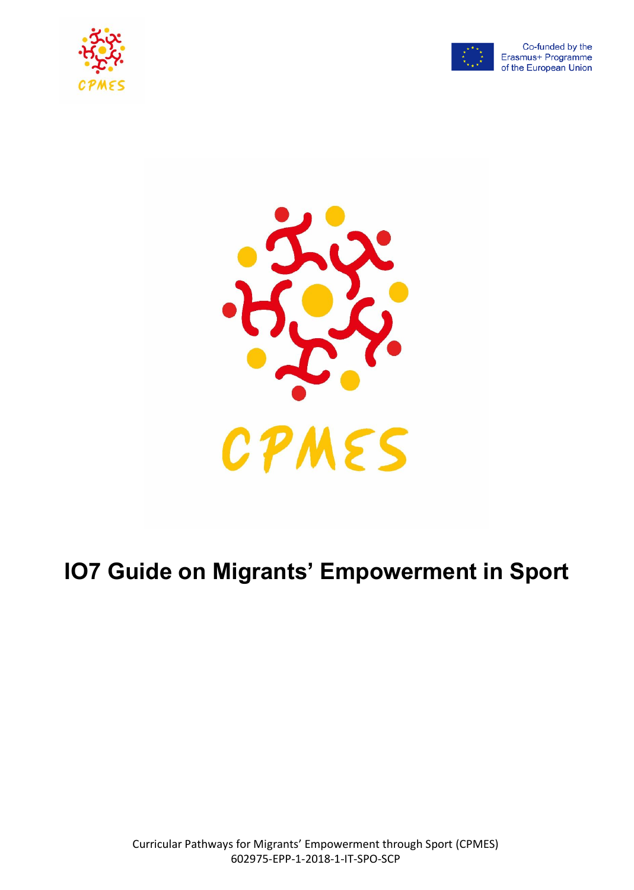





# **IO7 Guide on Migrants' Empowerment in Sport**

Curricular Pathways for Migrants' Empowerment through Sport (CPMES) 602975-EPP-1-2018-1-IT-SPO-SCP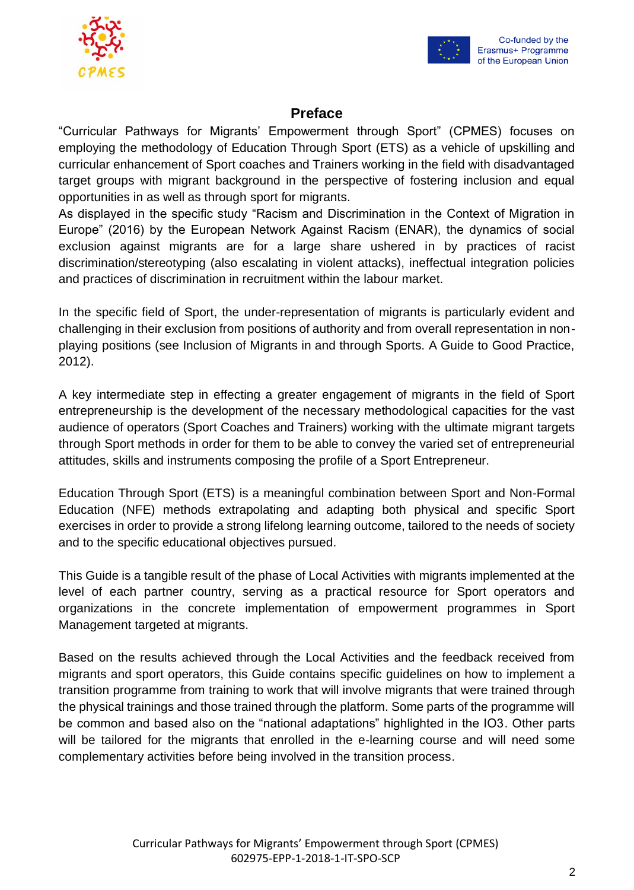



# **Preface**

"Curricular Pathways for Migrants' Empowerment through Sport" (CPMES) focuses on employing the methodology of Education Through Sport (ETS) as a vehicle of upskilling and curricular enhancement of Sport coaches and Trainers working in the field with disadvantaged target groups with migrant background in the perspective of fostering inclusion and equal opportunities in as well as through sport for migrants.

As displayed in the specific study "Racism and Discrimination in the Context of Migration in Europe" (2016) by the European Network Against Racism (ENAR), the dynamics of social exclusion against migrants are for a large share ushered in by practices of racist discrimination/stereotyping (also escalating in violent attacks), ineffectual integration policies and practices of discrimination in recruitment within the labour market.

In the specific field of Sport, the under-representation of migrants is particularly evident and challenging in their exclusion from positions of authority and from overall representation in nonplaying positions (see Inclusion of Migrants in and through Sports. A Guide to Good Practice, 2012).

A key intermediate step in effecting a greater engagement of migrants in the field of Sport entrepreneurship is the development of the necessary methodological capacities for the vast audience of operators (Sport Coaches and Trainers) working with the ultimate migrant targets through Sport methods in order for them to be able to convey the varied set of entrepreneurial attitudes, skills and instruments composing the profile of a Sport Entrepreneur.

Education Through Sport (ETS) is a meaningful combination between Sport and Non-Formal Education (NFE) methods extrapolating and adapting both physical and specific Sport exercises in order to provide a strong lifelong learning outcome, tailored to the needs of society and to the specific educational objectives pursued.

This Guide is a tangible result of the phase of Local Activities with migrants implemented at the level of each partner country, serving as a practical resource for Sport operators and organizations in the concrete implementation of empowerment programmes in Sport Management targeted at migrants.

Based on the results achieved through the Local Activities and the feedback received from migrants and sport operators, this Guide contains specific guidelines on how to implement a transition programme from training to work that will involve migrants that were trained through the physical trainings and those trained through the platform. Some parts of the programme will be common and based also on the "national adaptations" highlighted in the IO3. Other parts will be tailored for the migrants that enrolled in the e-learning course and will need some complementary activities before being involved in the transition process.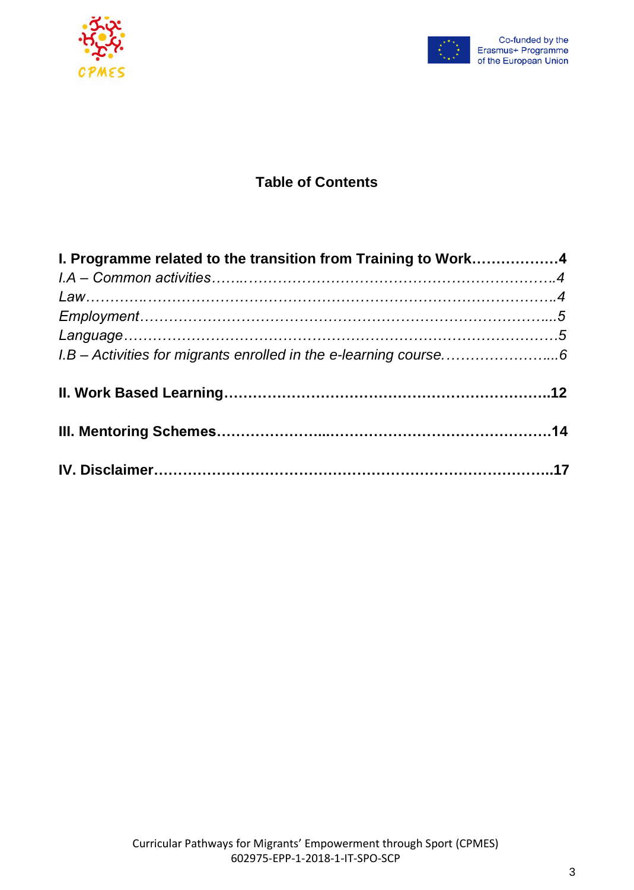



# **Table of Contents**

| I. Programme related to the transition from Training to Work4 |  |
|---------------------------------------------------------------|--|
|                                                               |  |
|                                                               |  |
|                                                               |  |
|                                                               |  |
|                                                               |  |
|                                                               |  |
|                                                               |  |
|                                                               |  |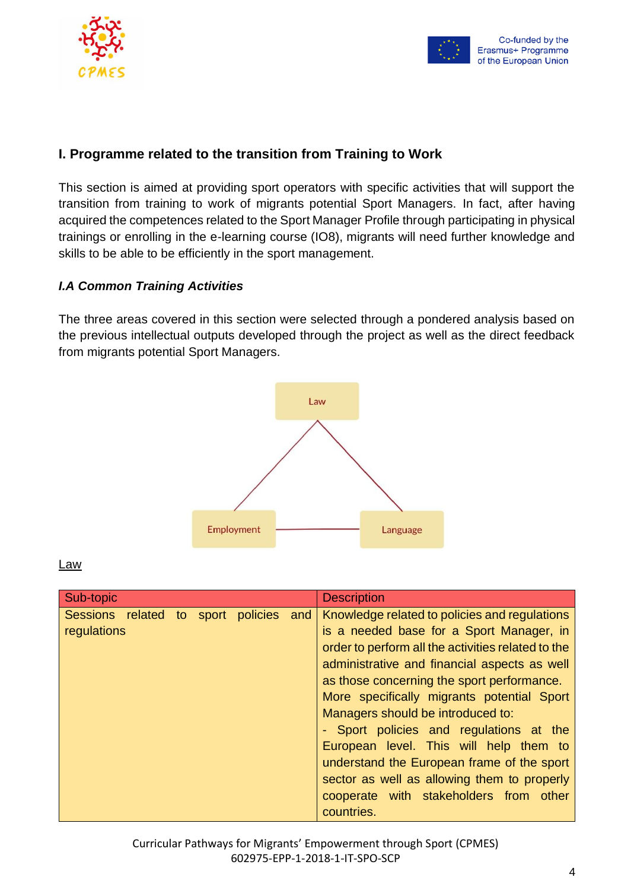



# **I. Programme related to the transition from Training to Work**

This section is aimed at providing sport operators with specific activities that will support the transition from training to work of migrants potential Sport Managers. In fact, after having acquired the competences related to the Sport Manager Profile through participating in physical trainings or enrolling in the e-learning course (IO8), migrants will need further knowledge and skills to be able to be efficiently in the sport management.

# *I.A Common Training Activities*

The three areas covered in this section were selected through a pondered analysis based on the previous intellectual outputs developed through the project as well as the direct feedback from migrants potential Sport Managers.



Law

| Sub-topic                                         |     | <b>Description</b>                                                                         |
|---------------------------------------------------|-----|--------------------------------------------------------------------------------------------|
| Sessions related to sport policies<br>regulations | and | Knowledge related to policies and regulations<br>is a needed base for a Sport Manager, in  |
|                                                   |     | order to perform all the activities related to the                                         |
|                                                   |     | administrative and financial aspects as well<br>as those concerning the sport performance. |
|                                                   |     | More specifically migrants potential Sport                                                 |
|                                                   |     | Managers should be introduced to:                                                          |
|                                                   |     | - Sport policies and regulations at the                                                    |
|                                                   |     | European level. This will help them to                                                     |
|                                                   |     | understand the European frame of the sport                                                 |
|                                                   |     | sector as well as allowing them to properly                                                |
|                                                   |     | cooperate with stakeholders from other<br>countries.                                       |

Curricular Pathways for Migrants' Empowerment through Sport (CPMES) 602975-EPP-1-2018-1-IT-SPO-SCP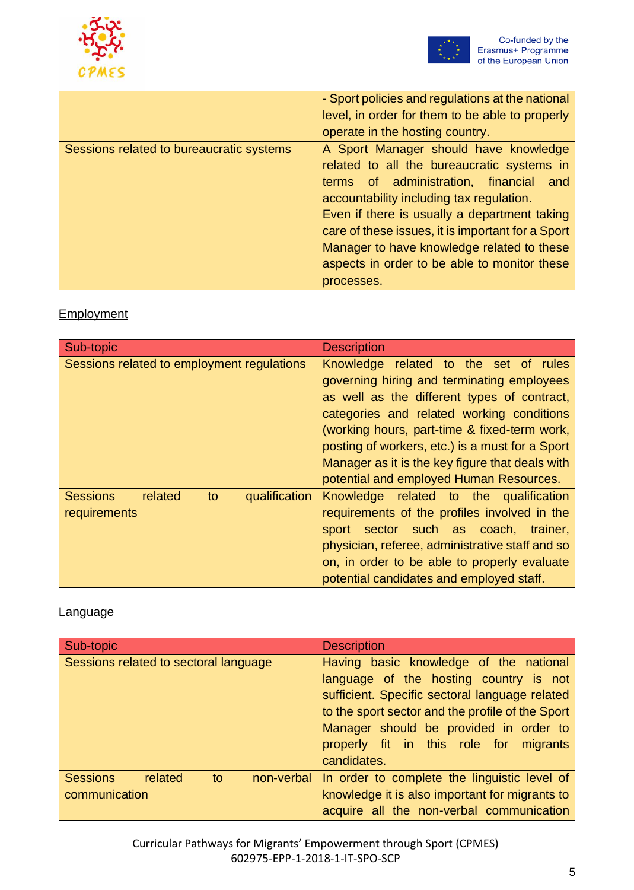



|                                          | - Sport policies and regulations at the national  |
|------------------------------------------|---------------------------------------------------|
|                                          | level, in order for them to be able to properly   |
|                                          | operate in the hosting country.                   |
| Sessions related to bureaucratic systems | A Sport Manager should have knowledge             |
|                                          | related to all the bureaucratic systems in        |
|                                          | terms of administration, financial and            |
|                                          | accountability including tax regulation.          |
|                                          | Even if there is usually a department taking      |
|                                          | care of these issues, it is important for a Sport |
|                                          | Manager to have knowledge related to these        |
|                                          | aspects in order to be able to monitor these      |
|                                          | processes.                                        |

# **Employment**

| Sub-topic                                                         | <b>Description</b>                                                                                                                                                                                                                                                                                                                                                               |  |
|-------------------------------------------------------------------|----------------------------------------------------------------------------------------------------------------------------------------------------------------------------------------------------------------------------------------------------------------------------------------------------------------------------------------------------------------------------------|--|
| Sessions related to employment regulations                        | Knowledge related to the set of rules<br>governing hiring and terminating employees<br>as well as the different types of contract,<br>categories and related working conditions<br>(working hours, part-time & fixed-term work,<br>posting of workers, etc.) is a must for a Sport<br>Manager as it is the key figure that deals with<br>potential and employed Human Resources. |  |
| <b>Sessions</b><br>qualification<br>related<br>to<br>requirements | Knowledge related to the qualification<br>requirements of the profiles involved in the<br>sport sector such as coach, trainer,<br>physician, referee, administrative staff and so<br>on, in order to be able to properly evaluate<br>potential candidates and employed staff.                                                                                                    |  |

# **Language**

| Sub-topic                                                       | <b>Description</b>                                                                                                                                                                                                                                                                        |  |
|-----------------------------------------------------------------|-------------------------------------------------------------------------------------------------------------------------------------------------------------------------------------------------------------------------------------------------------------------------------------------|--|
| Sessions related to sectoral language                           | Having basic knowledge of the national<br>language of the hosting country is not<br>sufficient. Specific sectoral language related<br>to the sport sector and the profile of the Sport<br>Manager should be provided in order to<br>properly fit in this role for migrants<br>candidates. |  |
| <b>Sessions</b><br>related<br>to<br>non-verbal<br>communication | In order to complete the linguistic level of<br>knowledge it is also important for migrants to<br>acquire all the non-verbal communication                                                                                                                                                |  |

Curricular Pathways for Migrants' Empowerment through Sport (CPMES) 602975-EPP-1-2018-1-IT-SPO-SCP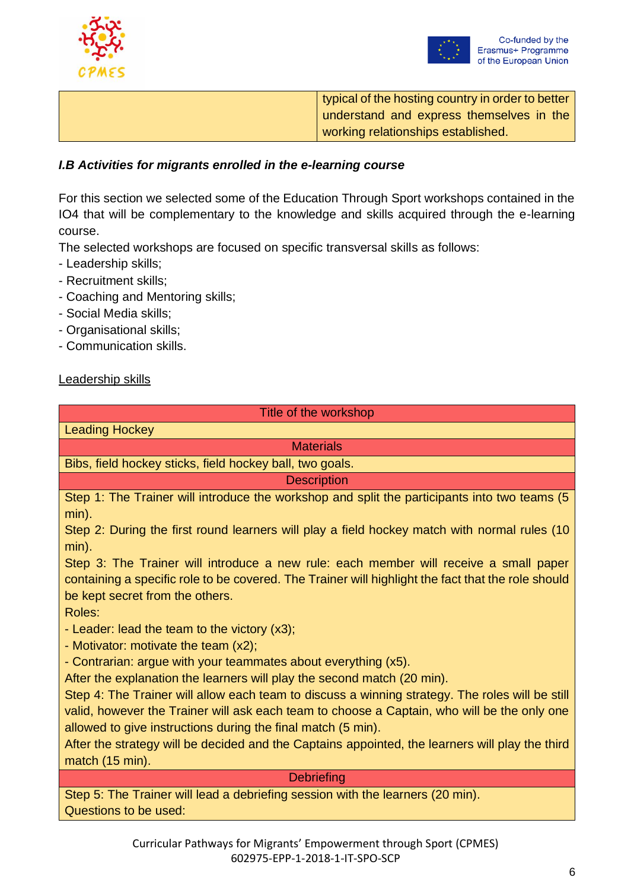



typical of the hosting country in order to better understand and express themselves in the working relationships established.

### *I.B Activities for migrants enrolled in the e-learning course*

For this section we selected some of the Education Through Sport workshops contained in the IO4 that will be complementary to the knowledge and skills acquired through the e-learning course.

The selected workshops are focused on specific transversal skills as follows:

- Leadership skills;
- Recruitment skills;
- Coaching and Mentoring skills;
- Social Media skills;
- Organisational skills;
- Communication skills.

### Leadership skills

| Title of the workshop                                                                                                                                                                       |  |  |
|---------------------------------------------------------------------------------------------------------------------------------------------------------------------------------------------|--|--|
| <b>Leading Hockey</b>                                                                                                                                                                       |  |  |
| <b>Materials</b>                                                                                                                                                                            |  |  |
| Bibs, field hockey sticks, field hockey ball, two goals.                                                                                                                                    |  |  |
| <b>Description</b>                                                                                                                                                                          |  |  |
| Step 1: The Trainer will introduce the workshop and split the participants into two teams (5<br>$min$ ).                                                                                    |  |  |
| Step 2: During the first round learners will play a field hockey match with normal rules (10<br>$min$ ).                                                                                    |  |  |
| Step 3: The Trainer will introduce a new rule: each member will receive a small paper<br>containing a specific role to be covered. The Trainer will highlight the fact that the role should |  |  |
| be kept secret from the others.<br>Roles:                                                                                                                                                   |  |  |
| - Leader: lead the team to the victory (x3);                                                                                                                                                |  |  |
| - Motivator: motivate the team $(x2)$ ;                                                                                                                                                     |  |  |
| - Contrarian: argue with your teammates about everything (x5).                                                                                                                              |  |  |
| After the explanation the learners will play the second match (20 min).                                                                                                                     |  |  |
| Step 4: The Trainer will allow each team to discuss a winning strategy. The roles will be still                                                                                             |  |  |
| valid, however the Trainer will ask each team to choose a Captain, who will be the only one                                                                                                 |  |  |

allowed to give instructions during the final match (5 min).

After the strategy will be decided and the Captains appointed, the learners will play the third match (15 min).

#### **Debriefing**

Step 5: The Trainer will lead a debriefing session with the learners (20 min). Questions to be used: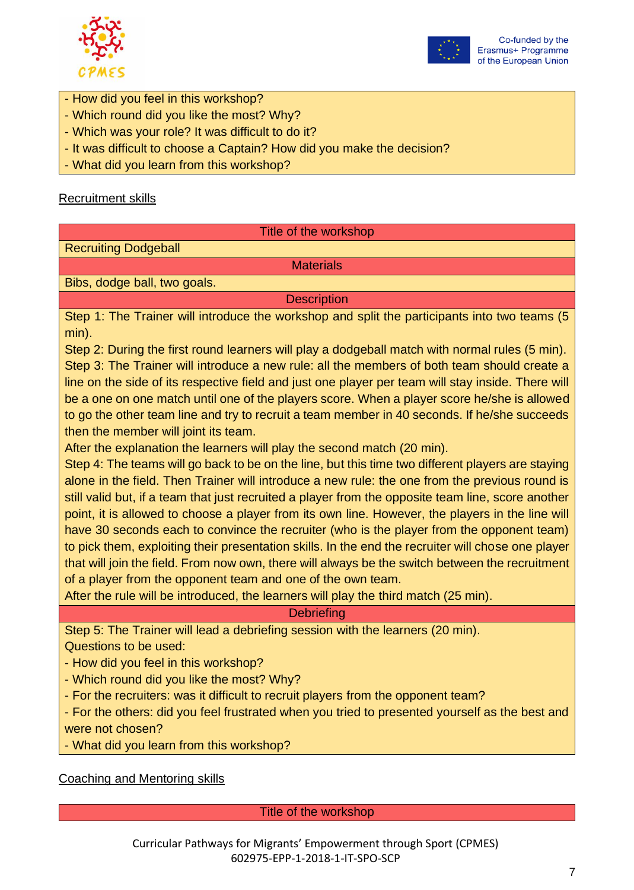



- How did you feel in this workshop?
- Which round did you like the most? Why?
- Which was your role? It was difficult to do it?
- It was difficult to choose a Captain? How did you make the decision?
- What did you learn from this workshop?

### Recruitment skills

#### Title of the workshop

Recruiting Dodgeball

**Materials** 

Bibs, dodge ball, two goals.

**Description** 

Step 1: The Trainer will introduce the workshop and split the participants into two teams (5 min).

Step 2: During the first round learners will play a dodgeball match with normal rules (5 min). Step 3: The Trainer will introduce a new rule: all the members of both team should create a line on the side of its respective field and just one player per team will stay inside. There will be a one on one match until one of the players score. When a player score he/she is allowed to go the other team line and try to recruit a team member in 40 seconds. If he/she succeeds then the member will joint its team.

After the explanation the learners will play the second match (20 min).

Step 4: The teams will go back to be on the line, but this time two different players are staying alone in the field. Then Trainer will introduce a new rule: the one from the previous round is still valid but, if a team that just recruited a player from the opposite team line, score another point, it is allowed to choose a player from its own line. However, the players in the line will have 30 seconds each to convince the recruiter (who is the player from the opponent team) to pick them, exploiting their presentation skills. In the end the recruiter will chose one player that will join the field. From now own, there will always be the switch between the recruitment of a player from the opponent team and one of the own team.

After the rule will be introduced, the learners will play the third match (25 min).

**Debriefing** 

Step 5: The Trainer will lead a debriefing session with the learners (20 min). Questions to be used:

- How did you feel in this workshop?
- Which round did you like the most? Why?
- For the recruiters: was it difficult to recruit players from the opponent team?
- For the others: did you feel frustrated when you tried to presented yourself as the best and were not chosen?
- What did you learn from this workshop?

Coaching and Mentoring skills

Title of the workshop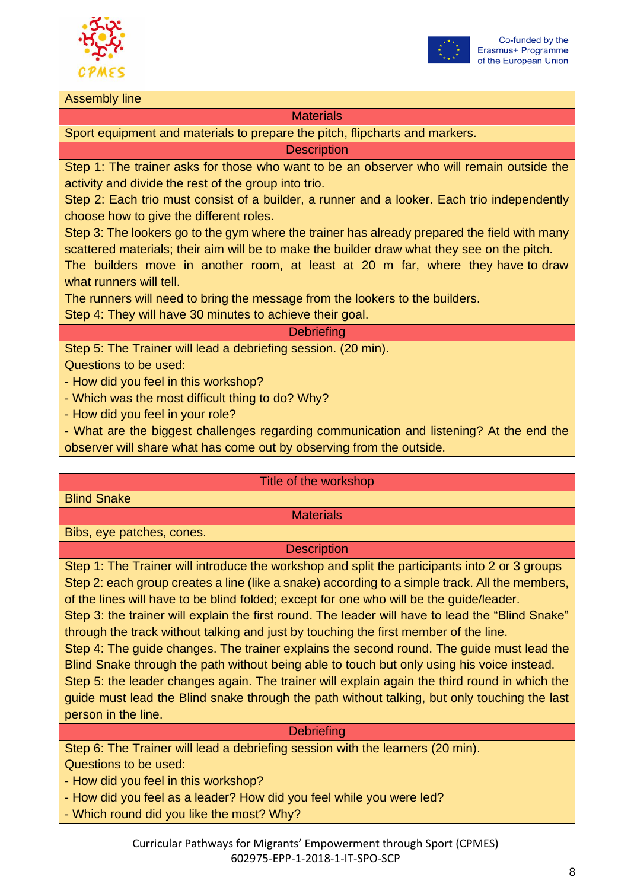



#### Assembly line

### **Materials**

Sport equipment and materials to prepare the pitch, flipcharts and markers.

**Description** 

Step 1: The trainer asks for those who want to be an observer who will remain outside the activity and divide the rest of the group into trio.

Step 2: Each trio must consist of a builder, a runner and a looker. Each trio independently choose how to give the different roles.

Step 3: The lookers go to the gym where the trainer has already prepared the field with many scattered materials; their aim will be to make the builder draw what they see on the pitch.

The builders move in another room, at least at 20 m far, where they have to draw what runners will tell.

The runners will need to bring the message from the lookers to the builders.

Step 4: They will have 30 minutes to achieve their goal.

### **Debriefing**

Step 5: The Trainer will lead a debriefing session. (20 min).

Questions to be used:

- How did you feel in this workshop?

- Which was the most difficult thing to do? Why?
- How did you feel in your role?

- What are the biggest challenges regarding communication and listening? At the end the observer will share what has come out by observing from the outside.

#### Title of the workshop

Blind Snake

# **Materials**

Bibs, eye patches, cones.

**Description** 

Step 1: The Trainer will introduce the workshop and split the participants into 2 or 3 groups Step 2: each group creates a line (like a snake) according to a simple track. All the members, of the lines will have to be blind folded; except for one who will be the guide/leader. Step 3: the trainer will explain the first round. The leader will have to lead the "Blind Snake" through the track without talking and just by touching the first member of the line. Step 4: The guide changes. The trainer explains the second round. The guide must lead the Blind Snake through the path without being able to touch but only using his voice instead. Step 5: the leader changes again. The trainer will explain again the third round in which the guide must lead the Blind snake through the path without talking, but only touching the last person in the line.

### **Debriefing**

Step 6: The Trainer will lead a debriefing session with the learners (20 min). Questions to be used:

- How did you feel in this workshop?

- How did you feel as a leader? How did you feel while you were led?
- Which round did you like the most? Why?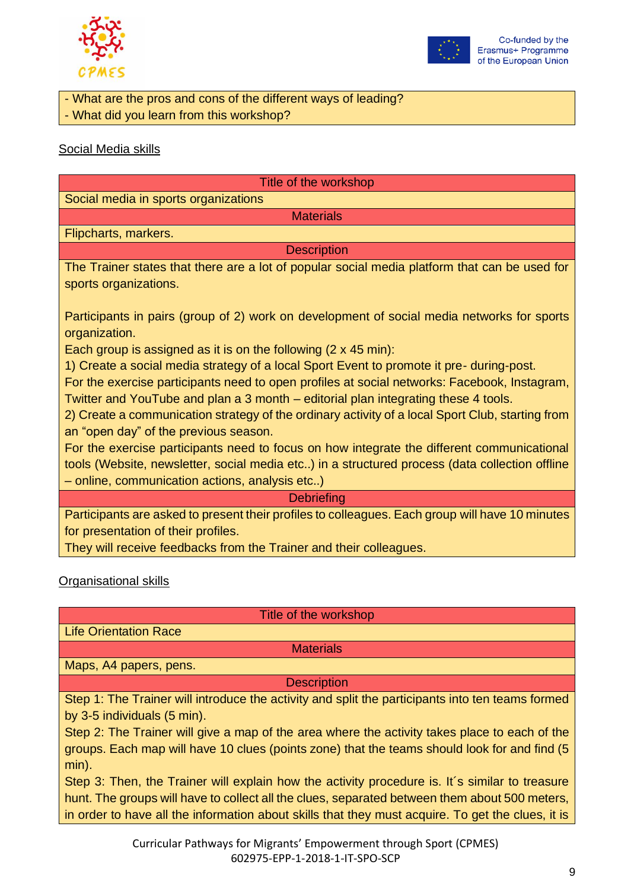



- What are the pros and cons of the different ways of leading? - What did you learn from this workshop?

### Social Media skills

| Title of the workshop                                                                                                                                                              |
|------------------------------------------------------------------------------------------------------------------------------------------------------------------------------------|
| Social media in sports organizations                                                                                                                                               |
| <b>Materials</b>                                                                                                                                                                   |
| Flipcharts, markers.                                                                                                                                                               |
| <b>Description</b>                                                                                                                                                                 |
| The Trainer states that there are a lot of popular social media platform that can be used for<br>sports organizations.                                                             |
| Participants in pairs (group of 2) work on development of social media networks for sports<br>organization.                                                                        |
| Each group is assigned as it is on the following $(2 \times 45 \text{ min})$ :                                                                                                     |
| 1) Create a social media strategy of a local Sport Event to promote it pre-during-post.                                                                                            |
| For the exercise participants need to open profiles at social networks: Facebook, Instagram,<br>Twitter and YouTube and plan a 3 month – editorial plan integrating these 4 tools. |
| 2) Create a communication strategy of the ordinary activity of a local Sport Club, starting from<br>an "open day" of the previous season.                                          |
| For the exercise participants need to focus on how integrate the different communicational                                                                                         |
| tools (Website, newsletter, social media etc) in a structured process (data collection offline                                                                                     |
| - online, communication actions, analysis etc)                                                                                                                                     |
| <b>Debriefing</b>                                                                                                                                                                  |
| Participants are asked to present their profiles to colleagues. Each group will have 10 minutes                                                                                    |

Participants are asked to present their profiles to colleagues. Each group will have 10 minutes for presentation of their profiles.

They will receive feedbacks from the Trainer and their colleagues.

# Organisational skills

Title of the workshop

Life Orientation Race

**Materials** 

Maps, A4 papers, pens.

**Description** 

Step 1: The Trainer will introduce the activity and split the participants into ten teams formed by 3-5 individuals (5 min).

Step 2: The Trainer will give a map of the area where the activity takes place to each of the groups. Each map will have 10 clues (points zone) that the teams should look for and find (5 min).

Step 3: Then, the Trainer will explain how the activity procedure is. It's similar to treasure hunt. The groups will have to collect all the clues, separated between them about 500 meters, in order to have all the information about skills that they must acquire. To get the clues, it is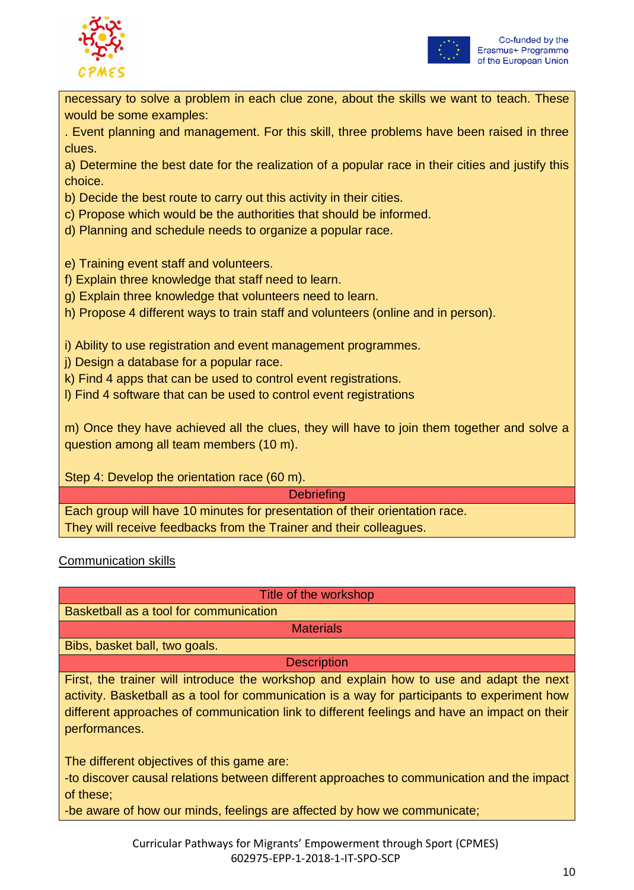



necessary to solve a problem in each clue zone, about the skills we want to teach. These would be some examples:

. Event planning and management. For this skill, three problems have been raised in three clues.

a) Determine the best date for the realization of a popular race in their cities and justify this choice.

b) Decide the best route to carry out this activity in their cities.

c) Propose which would be the authorities that should be informed.

d) Planning and schedule needs to organize a popular race.

e) Training event staff and volunteers.

- f) Explain three knowledge that staff need to learn.
- g) Explain three knowledge that volunteers need to learn.
- h) Propose 4 different ways to train staff and volunteers (online and in person).

i) Ability to use registration and event management programmes.

- j) Design a database for a popular race.
- k) Find 4 apps that can be used to control event registrations.
- l) Find 4 software that can be used to control event registrations

m) Once they have achieved all the clues, they will have to join them together and solve a question among all team members (10 m).

Step 4: Develop the orientation race (60 m).

**Debriefing** 

Each group will have 10 minutes for presentation of their orientation race. They will receive feedbacks from the Trainer and their colleagues.

Communication skills

Title of the workshop

Basketball as a tool for communication

**Materials** 

Bibs, basket ball, two goals.

**Description** 

First, the trainer will introduce the workshop and explain how to use and adapt the next activity. Basketball as a tool for communication is a way for participants to experiment how different approaches of communication link to different feelings and have an impact on their performances.

The different objectives of this game are:

-to discover causal relations between different approaches to communication and the impact of these;

-be aware of how our minds, feelings are affected by how we communicate;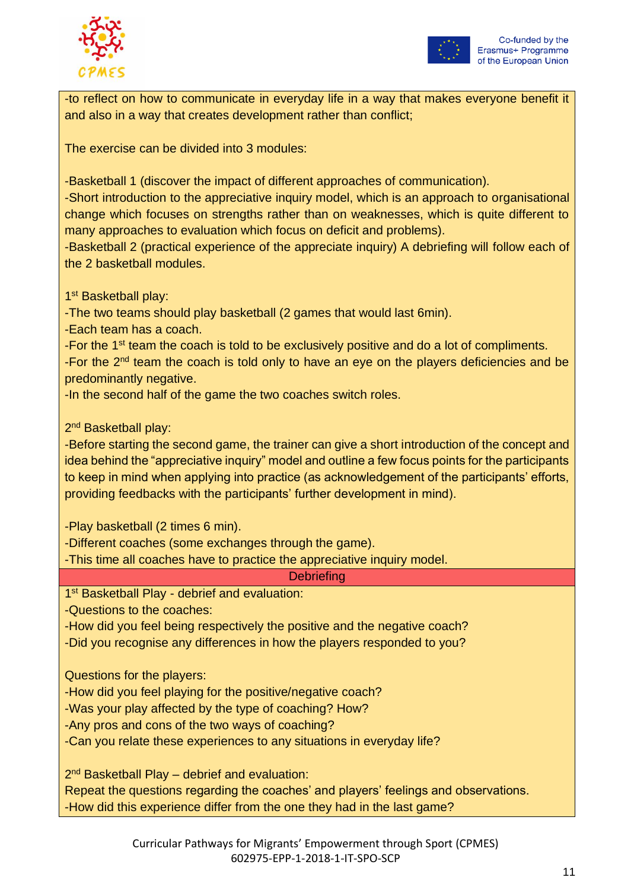



-to reflect on how to communicate in everyday life in a way that makes everyone benefit it and also in a way that creates development rather than conflict;

The exercise can be divided into 3 modules:

-Basketball 1 (discover the impact of different approaches of communication).

-Short introduction to the appreciative inquiry model, which is an approach to organisational change which focuses on strengths rather than on weaknesses, which is quite different to many approaches to evaluation which focus on deficit and problems).

-Basketball 2 (practical experience of the appreciate inquiry) A debriefing will follow each of the 2 basketball modules.

1<sup>st</sup> Basketball play:

-The two teams should play basketball (2 games that would last 6min).

-Each team has a coach.

-For the 1<sup>st</sup> team the coach is told to be exclusively positive and do a lot of compliments.

-For the 2<sup>nd</sup> team the coach is told only to have an eye on the players deficiencies and be predominantly negative.

-In the second half of the game the two coaches switch roles.

2<sup>nd</sup> Basketball play:

-Before starting the second game, the trainer can give a short introduction of the concept and idea behind the "appreciative inquiry" model and outline a few focus points for the participants to keep in mind when applying into practice (as acknowledgement of the participants' efforts, providing feedbacks with the participants' further development in mind).

-Play basketball (2 times 6 min).

-Different coaches (some exchanges through the game).

-This time all coaches have to practice the appreciative inquiry model.

# **Debriefing**

1<sup>st</sup> Basketball Play - debrief and evaluation:

-Questions to the coaches:

-How did you feel being respectively the positive and the negative coach?

-Did you recognise any differences in how the players responded to you?

Questions for the players:

-How did you feel playing for the positive/negative coach?

-Was your play affected by the type of coaching? How?

-Any pros and cons of the two ways of coaching?

-Can you relate these experiences to any situations in everyday life?

2<sup>nd</sup> Basketball Play – debrief and evaluation:

Repeat the questions regarding the coaches' and players' feelings and observations. -How did this experience differ from the one they had in the last game?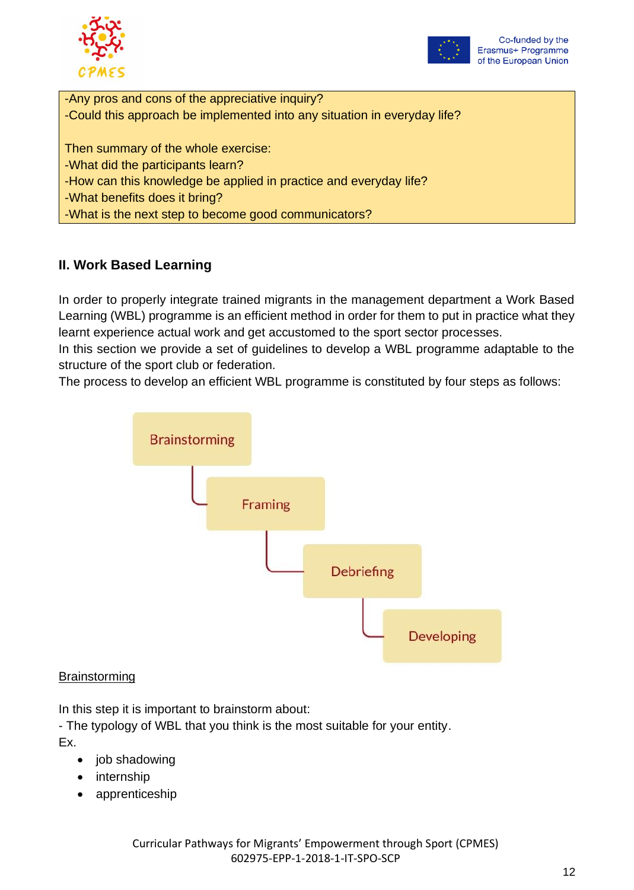



-Any pros and cons of the appreciative inquiry? -Could this approach be implemented into any situation in everyday life?

Then summary of the whole exercise: -What did the participants learn?

-How can this knowledge be applied in practice and everyday life?

-What benefits does it bring?

-What is the next step to become good communicators?

# **II. Work Based Learning**

In order to properly integrate trained migrants in the management department a Work Based Learning (WBL) programme is an efficient method in order for them to put in practice what they learnt experience actual work and get accustomed to the sport sector processes.

In this section we provide a set of guidelines to develop a WBL programme adaptable to the structure of the sport club or federation.

The process to develop an efficient WBL programme is constituted by four steps as follows:



# **Brainstorming**

In this step it is important to brainstorm about:

- The typology of WBL that you think is the most suitable for your entity. Ex.

- job shadowing
- internship
- apprenticeship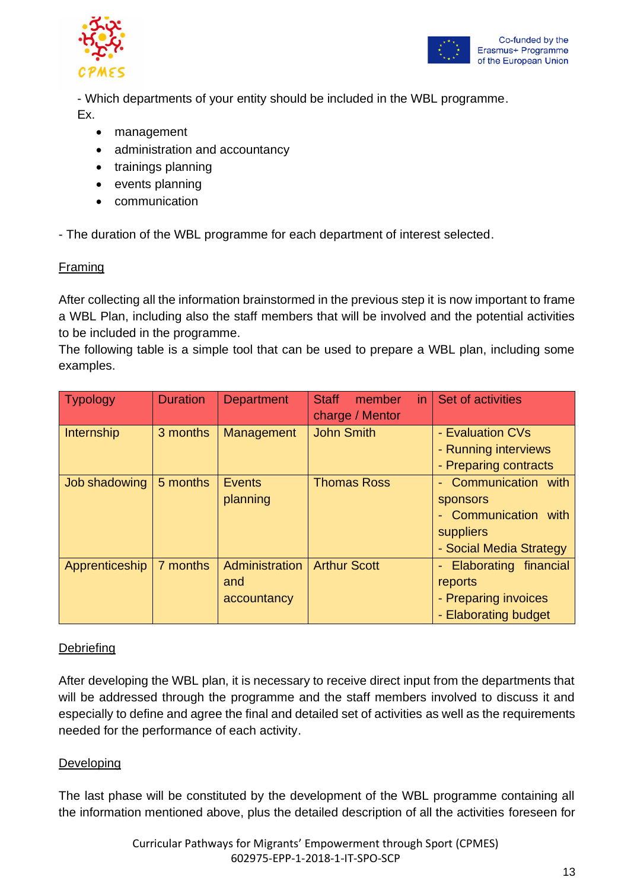



- Which departments of your entity should be included in the WBL programme. Ex.

- management
- administration and accountancy
- trainings planning
- events planning
- communication

- The duration of the WBL programme for each department of interest selected.

# Framing

After collecting all the information brainstormed in the previous step it is now important to frame a WBL Plan, including also the staff members that will be involved and the potential activities to be included in the programme.

The following table is a simple tool that can be used to prepare a WBL plan, including some examples.

| <b>Typology</b> | <b>Duration</b> | <b>Department</b>                           | <b>Staff</b><br>in.<br>member<br>charge / Mentor | Set of activities                                                                                        |
|-----------------|-----------------|---------------------------------------------|--------------------------------------------------|----------------------------------------------------------------------------------------------------------|
| Internship      | 3 months        | Management                                  | <b>John Smith</b>                                | - Evaluation CVs<br>- Running interviews<br>- Preparing contracts                                        |
| Job shadowing   | 5 months        | <b>Events</b><br>planning                   | <b>Thomas Ross</b>                               | Communication with<br>$\sim$<br>sponsors<br>- Communication with<br>suppliers<br>- Social Media Strategy |
| Apprenticeship  | 7 months        | <b>Administration</b><br>and<br>accountancy | <b>Arthur Scott</b>                              | Elaborating financial<br>reports<br>- Preparing invoices<br>- Elaborating budget                         |

# **Debriefing**

After developing the WBL plan, it is necessary to receive direct input from the departments that will be addressed through the programme and the staff members involved to discuss it and especially to define and agree the final and detailed set of activities as well as the requirements needed for the performance of each activity.

# **Developing**

The last phase will be constituted by the development of the WBL programme containing all the information mentioned above, plus the detailed description of all the activities foreseen for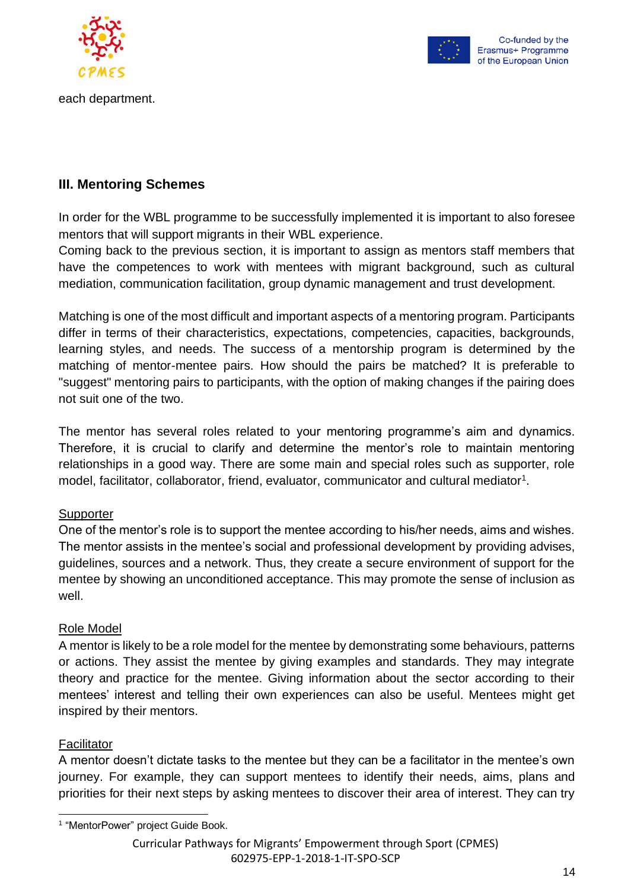

each department.



# **III. Mentoring Schemes**

In order for the WBL programme to be successfully implemented it is important to also foresee mentors that will support migrants in their WBL experience.

Coming back to the previous section, it is important to assign as mentors staff members that have the competences to work with mentees with migrant background, such as cultural mediation, communication facilitation, group dynamic management and trust development.

Matching is one of the most difficult and important aspects of a mentoring program. Participants differ in terms of their characteristics, expectations, competencies, capacities, backgrounds, learning styles, and needs. The success of a mentorship program is determined by the matching of mentor-mentee pairs. How should the pairs be matched? It is preferable to "suggest" mentoring pairs to participants, with the option of making changes if the pairing does not suit one of the two.

The mentor has several roles related to your mentoring programme's aim and dynamics. Therefore, it is crucial to clarify and determine the mentor's role to maintain mentoring relationships in a good way. There are some main and special roles such as supporter, role model, facilitator, collaborator, friend, evaluator, communicator and cultural mediator<sup>1</sup>.

# **Supporter**

One of the mentor's role is to support the mentee according to his/her needs, aims and wishes. The mentor assists in the mentee's social and professional development by providing advises, guidelines, sources and a network. Thus, they create a secure environment of support for the mentee by showing an unconditioned acceptance. This may promote the sense of inclusion as well.

# Role Model

A mentor is likely to be a role model for the mentee by demonstrating some behaviours, patterns or actions. They assist the mentee by giving examples and standards. They may integrate theory and practice for the mentee. Giving information about the sector according to their mentees' interest and telling their own experiences can also be useful. Mentees might get inspired by their mentors.

### Facilitator

A mentor doesn't dictate tasks to the mentee but they can be a facilitator in the mentee's own journey. For example, they can support mentees to identify their needs, aims, plans and priorities for their next steps by asking mentees to discover their area of interest. They can try

<sup>&</sup>lt;sup>1</sup> "MentorPower" project Guide Book.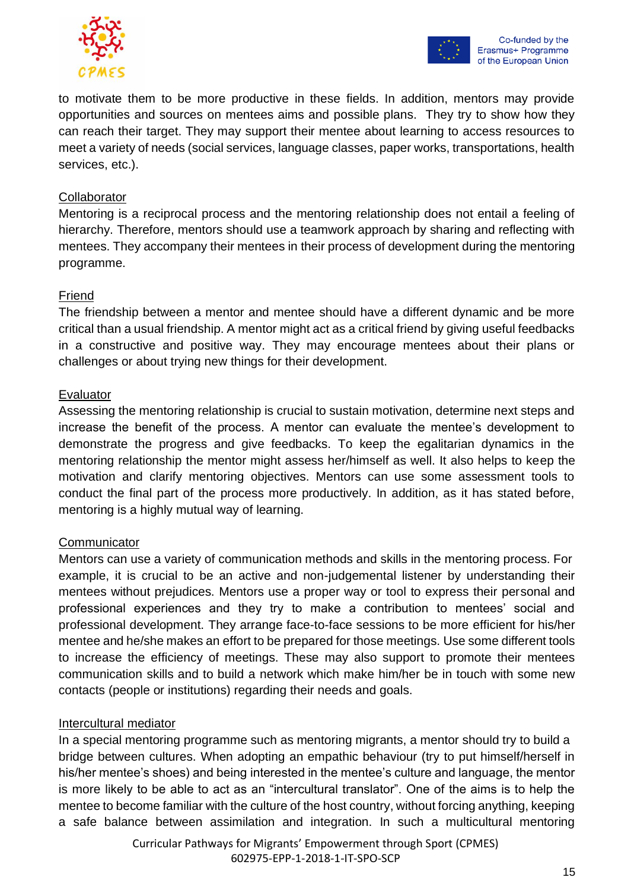



to motivate them to be more productive in these fields. In addition, mentors may provide opportunities and sources on mentees aims and possible plans. They try to show how they can reach their target. They may support their mentee about learning to access resources to meet a variety of needs (social services, language classes, paper works, transportations, health services, etc.).

### **Collaborator**

Mentoring is a reciprocal process and the mentoring relationship does not entail a feeling of hierarchy. Therefore, mentors should use a teamwork approach by sharing and reflecting with mentees. They accompany their mentees in their process of development during the mentoring programme.

### Friend

The friendship between a mentor and mentee should have a different dynamic and be more critical than a usual friendship. A mentor might act as a critical friend by giving useful feedbacks in a constructive and positive way. They may encourage mentees about their plans or challenges or about trying new things for their development.

### Evaluator

Assessing the mentoring relationship is crucial to sustain motivation, determine next steps and increase the benefit of the process. A mentor can evaluate the mentee's development to demonstrate the progress and give feedbacks. To keep the egalitarian dynamics in the mentoring relationship the mentor might assess her/himself as well. It also helps to keep the motivation and clarify mentoring objectives. Mentors can use some assessment tools to conduct the final part of the process more productively. In addition, as it has stated before, mentoring is a highly mutual way of learning.

### **Communicator**

Mentors can use a variety of communication methods and skills in the mentoring process. For example, it is crucial to be an active and non-judgemental listener by understanding their mentees without prejudices. Mentors use a proper way or tool to express their personal and professional experiences and they try to make a contribution to mentees' social and professional development. They arrange face-to-face sessions to be more efficient for his/her mentee and he/she makes an effort to be prepared for those meetings. Use some different tools to increase the efficiency of meetings. These may also support to promote their mentees communication skills and to build a network which make him/her be in touch with some new contacts (people or institutions) regarding their needs and goals.

# Intercultural mediator

In a special mentoring programme such as mentoring migrants, a mentor should try to build a bridge between cultures. When adopting an empathic behaviour (try to put himself/herself in his/her mentee's shoes) and being interested in the mentee's culture and language, the mentor is more likely to be able to act as an "intercultural translator". One of the aims is to help the mentee to become familiar with the culture of the host country, without forcing anything, keeping a safe balance between assimilation and integration. In such a multicultural mentoring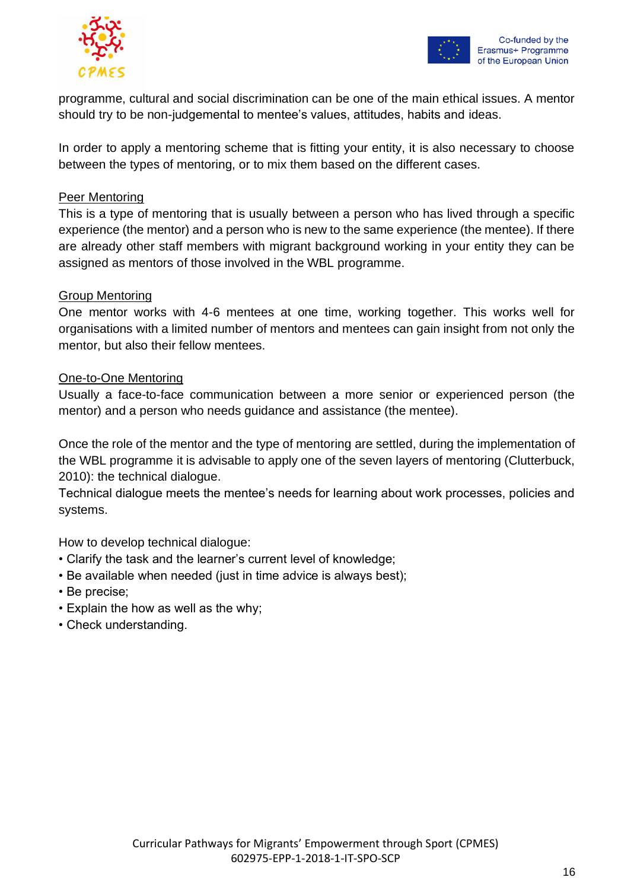



programme, cultural and social discrimination can be one of the main ethical issues. A mentor should try to be non-judgemental to mentee's values, attitudes, habits and ideas.

In order to apply a mentoring scheme that is fitting your entity, it is also necessary to choose between the types of mentoring, or to mix them based on the different cases.

### Peer Mentoring

This is a type of mentoring that is usually between a person who has lived through a specific experience (the mentor) and a person who is new to the same experience (the mentee). If there are already other staff members with migrant background working in your entity they can be assigned as mentors of those involved in the WBL programme.

### Group Mentoring

One mentor works with 4-6 mentees at one time, working together. This works well for organisations with a limited number of mentors and mentees can gain insight from not only the mentor, but also their fellow mentees.

### One-to-One Mentoring

Usually a face-to-face communication between a more senior or experienced person (the mentor) and a person who needs guidance and assistance (the mentee).

Once the role of the mentor and the type of mentoring are settled, during the implementation of the WBL programme it is advisable to apply one of the seven layers of mentoring (Clutterbuck, 2010): the technical dialogue.

Technical dialogue meets the mentee's needs for learning about work processes, policies and systems.

How to develop technical dialogue:

- Clarify the task and the learner's current level of knowledge;
- Be available when needed (just in time advice is always best);
- Be precise;
- Explain the how as well as the why;
- Check understanding.